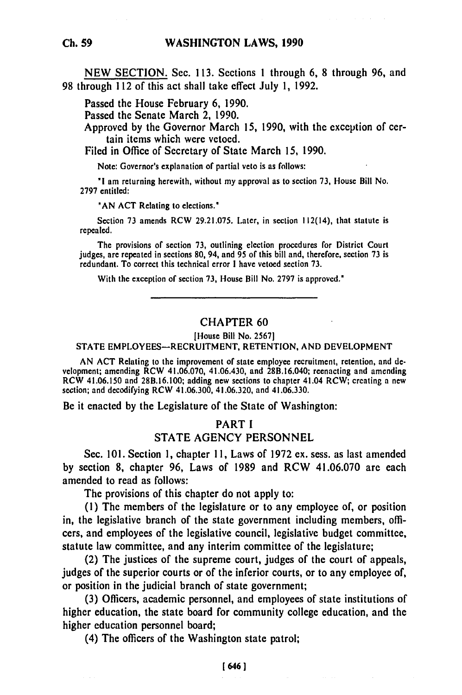**NEW** SECTION. Sec. 113. Sections **1** through **6,** 8 through 96, and 98 through 112 of this act shall take effect July **1,** 1992.

Passed the House February 6, 1990.

Passed the Senate March 2, 1990.

Approved by the Governor March 15, **1990,** with the exception of certain items which were vetoed.

Filed in Office of Secretary of State March 15, **1990.**

Note: Governor's explanation of partial veto is as follows:

*"I* am returning herewith, without my approval as to section **73,** House Bill No. **2797** entitled:

**'AN ACT** Relating to elections.'

Section **73** amends RCW **29.21.075.** Later, in section 112(14), that statute is repealed.

The provisions of section **73,** outlining election procedures for District Court judges, **are** repeated in sections **80,** 94, and **95** of this bill and, therefore, section **73** is redundant. To correct this technical error **I** have vetoed section **73.**

With the exception of section **73,** House Bill No. **2797** is approved."

## CHAPTER **60**

[House Bill **No. 2567]**

**STATE** EMPLOYEES-RECRUITMENT, **RETENTION. AND DEVELOPMENT**

**AN ACT** Relating to the improvement of state employee recruitment, retention, and **de**velopment; amending RCW 41.06.070, 41.06.430, and 28B.16.040; reenacting and amending RCW 41.06.150 and **28B.16.100;** adding new sections to chapter 41.04 RCW; creating a new section; and decodifying RCW 41.06.300, 41.06.320, and 41.06.330.

Be it enacted **by** the Legislature of the State of Washington:

# PART **I STATE AGENCY PERSONNEL**

Sec. **101.** Section **1,** chapter **11,** Laws of **1972** ex. sess. as last amended **by** section **8,** chapter **96,** Laws of **1989** and RCW 41.06.070 are each amended to read as follows:

The provisions of this chapter do not apply to:

**(1)** The members of the legislature or to any employee of, or position in, the legislative branch of the state government including members, officers, and employees **of** the legislative council, legislative budget committee, statute law committee, and any interim committee of the legislature;

(2) The justices of the supreme court, judges of the court of appeals, judges of the superior courts or of the inferior courts, or to any employee of, or position in the judicial branch of state government;

**(3)** Officers, academic personnel, and employees of state institutions of higher education, the state board for community college education, and the higher education personnel board;

(4) The officers of the Washington state patrol;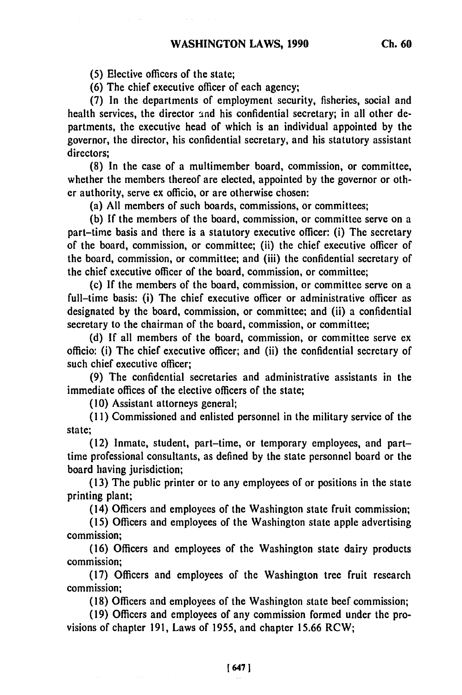**(5)** Elective officers of the state;

**(6)** The chief executive officer of each agency;

**(7)** In the departments of employment security, fisheries, social and health services, the director and his confidential secretary; in all other departments, the executive head of which is an individual appointed **by** the governor, the director, his confidential secretary, and his statutory assistant directors;

**(8)** In the case of a multimember board, commission, or committee, whether the members thereof are elected, appointed **by** the governor or other authority, serve ex officio, or are otherwise chosen:

(a) **All** members of such boards, commissions, or committees;

**(b) If** the members of the board, commission, or committee serve on a part-time basis and there is a statutory executive officer: (i) The secretary of the board, commission, or committee; (ii) the chief executive officer of the board, commission, or committee; and (iii) the confidential secretary of the chief executive officer of the board, commission, or committee;

(c) **If** the members of the board, commission, or committee serve on a full-time basis: (i) The chief executive officer or administrative officer as designated **by** the board, commission, or committee; and (ii) a confidential secretary to the chairman of the board, commission, or committee;

**(d) If** all members of the board, commission, or committee serve ex officio: (i) The chief executive officer; and (ii) the confidential secretary of such chief executive officer;

**(9)** The confidential secretaries and administrative assistants in the immediate offices of the elective officers of the state;

**(10)** Assistant attorneys general;

**(1I)** Commissioned and enlisted personnel in the military service of the state;

(12) Inmate, student, part-time, or temporary employees, and parttime professional consultants, as defined **by** the state personnel board or the board having jurisdiction;

**(13)** The public printer or to any employees of or positions in the state printing plant;

(14) Officers and employees of the Washington state fruit commission;

**(15)** Officers and employees of the Washington state apple advertising commission;

(16) Officers and employees of the Washington state dairy products commission;

**(17)** Officers and employees of the Washington tree fruit research commission;

**(18)** Officers and employees of the Washington state beef commission;

(19) Officers and employees of any commission formed under the provisions of chapter 191, Laws of 1955, and chapter 15.66 RCW;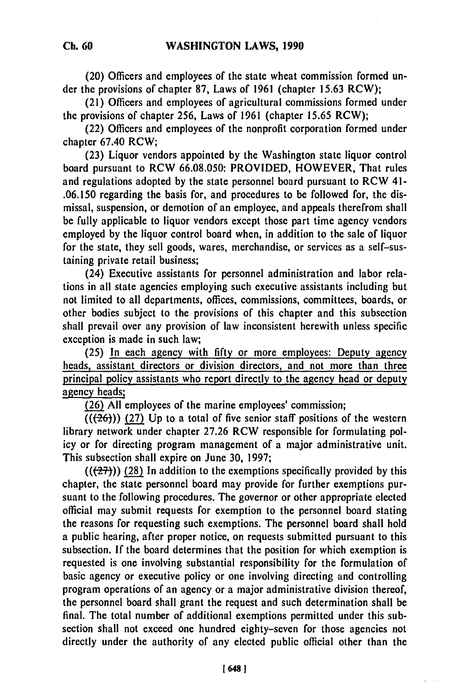(20) Officers and employees of the state wheat commission formed under the provisions of chapter **87,** Laws of 1961 (chapter 15.63 RCW);

(21) Officers and employees of agricultural commissions formed under the provisions of chapter **256,** Laws of 1961 (chapter **15.65** RCW);

(22) Officers and employees of the nonprofit corporation formed under chapter 67.40 RCW;

(23) Liquor vendors appointed **by** the Washington state liquor control board pursuant to RCW 66.08.050: PROVIDED, HOWEVER, That rules and regulations adopted by the state personnel board pursuant to RCW 41- .06.150 regarding the basis for, and procedures to **be** followed for, the dismissal, suspension, or demotion of an employee, and appeals therefrom shall be fully applicable to liquor vendors except those part time agency vendors employed **by** the liquor control board when, in addition to the sale of liquor for the state, they sell goods, wares, merchandise, or services as a self-sustaining private retail business;

(24) Executive assistants for personnel administration and labor relations in all state agencies employing such executive assistants including but not limited to all departments, offices, commissions, committees, boards, or other bodies subject to the provisions of this chapter and this subsection shall prevail over any provision of law inconsistent herewith unless specific exception is made in such law;

(25) In each agency with **fifty** or more employees: Deputy agency heads, assistant directors or division directors, and not more than three principal policy assistants who report directly to the agency head or deputy agency heads;

(26) All employees of the marine employees' commission;

 $((26))$  (27) Up to a total of five senior staff positions of the western library network under chapter 27.26 RCW responsible for formulating policy or for directing program management of a major administrative unit. This subsection shall expire on June **30,** 1997;

 $((27))$  (28) In addition to the exemptions specifically provided by this chapter, the state personnel board may provide for further exemptions pursuant to the following procedures. The governor or other appropriate elected official may submit requests for exemption to the personnel board stating the reasons for requesting such exemptions. The personnel board shall hold a public hearing, after proper notice, on requests submitted pursuant to this subsection. **If** the board determines that the position for which exemption is requested is one involving substantial responsibility for the formulation of basic agency or executive policy or one involving directing and controlling program operations of an agency or a major administrative division thereof, the personnel board shall grant the request and such determination shall be final. The total number of additional exemptions permitted under this subsection shall not exceed one hundred eighty-seven for those agencies not directly under the authority of any elected public official other than the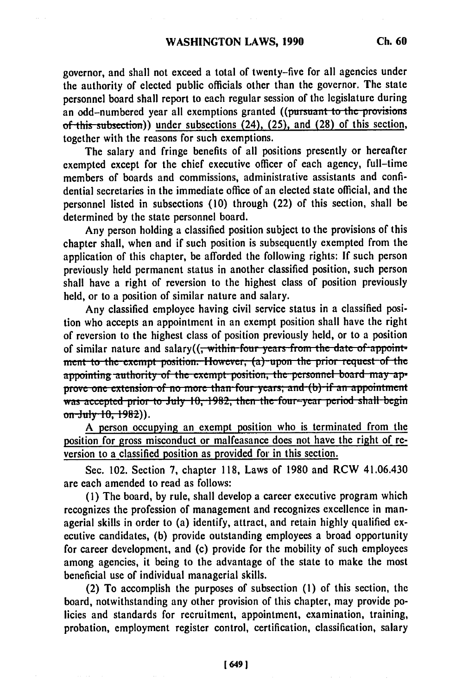governor, and shall not exceed a total of twenty-five for all agencies under the authority of elected public officials other than the governor. The state personnel board shall report to each regular session of the legislature during an odd-numbered year all exemptions granted ((pursuant to the provisions *of this subsection*)) under subsections (24), (25), and (28) of this section, together with the reasons for such exemptions.

The salary and fringe benefits of all positions presently or hereafter exempted except for the chief executive officer of each agency, full-time members of boards and commissions, administrative assistants and confidential secretaries in the immediate office of an elected state official, and the personnel listed in subsections **(10)** through (22) of this section, shall be determined **by** the state personnel board.

Any person holding a classified position subject to the provisions of this chapter shall, when and if such position is subsequently exempted from the application of this chapter, be afforded the following rights: **If** such person previously held permanent status in another classified position, such person shall have a right of reversion to the highest class of position previously held, or to a position of similar nature and salary.

Any classified employee having civil service status in a classified position who accepts an appointment in an exempt position shall have the right of reversion to the highest class of position previously held, or to a position of similar nature and salary((, within fou, yean **froi** the date of **appoit** ment to the exempt position. However, (a) upon the prior request of the appointing authority of the exempt position, the personnel board may ap**prove one extension of no more than four years; and (b) if an appointment** was accepted prior to July 10, 1982, then the four-year period shall begin **on-July 10, 1982**)).

A person occupying an exempt position who is terminated from **the** position for gross misconduct or malfeasance does not have the right of reversion to a classified position as provided for in this section.

Sec. 102. Section **7,** chapter **118,** Laws of 1980 and RCW 41.06.430 are each amended to read as follows:

**(1)** The board, **by** rule, shall develop a career executive program which recognizes the profession of management and recognizes excellence in managerial skills in order to (a) identify, attract, and retain **highly** qualified executive candidates, **(b)** provide outstanding employees a broad opportunity for career development, and (c) provide for the mobility of such employees among agencies, it being to the advantage of the state to make the most beneficial use of individual managerial skills.

(2) To accomplish the purposes of subsection **(1)** of this section, the board, notwithstanding any other provision of this chapter, may provide policies and standards for recruitment, appointment, examination, training, probation, employment register control, certification, classification, salary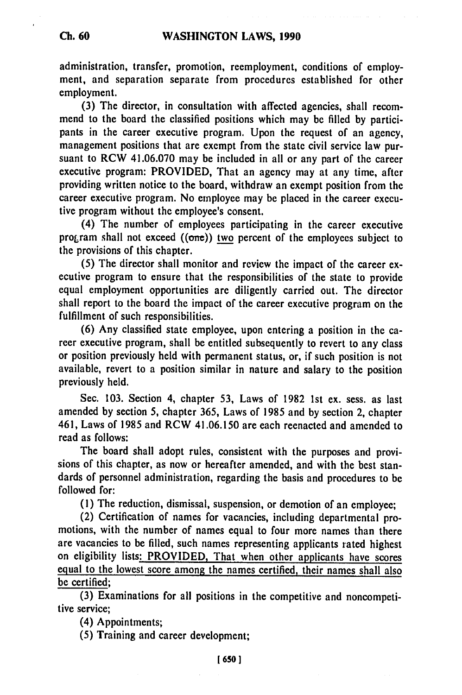## **Ch. 60**

## **WASHINGTON LAWS, 1990**

administration, transfer, promotion, reemployment, conditions of employment, and separation separate from procedures established for other employment.

**(3)** The director, in consultation with affected agencies, shall recommend to the board the classified positions which may be filled **by** participants in the career executive program. Upon the request of an agency, management positions that are exempt from the state civil service law pursuant to RCW 41.06.070 may be included in all or any part of the career executive program: PROVIDED, That an agency may at any time, after providing written notice to the board, withdraw an exempt position from the career executive program. No employee may be placed in the career executive program without the employee's consent.

(4) The number of employees participating in the career executive program shall not exceed  $((one))$  two percent of the employees subject to the provisions of this chapter.

**(5)** The director shall monitor and review the impact of the career executive program to ensure that the responsibilities of the state to provide equal employment opportunities are diligently carried out. The director shall report to the board the impact of the career executive program on the fulfillment of such responsibilities.

**(6)** Any classified state employee, upon entering a position in the career executive program, shall be entitled subsequently to revert to any class or position previously held with permanent status, or, if such position is not available, revert to a position similar in nature and salary to the position previously held.

Sec. **103.** Section 4, chapter **53,** Laws of **1982 1st** ex. sess. as last amended **by** section **5,** chapter **365,** Laws of **1985** and **by** section 2, chapter 461, Laws of **1985** and RCW 41.06.150 are each reenacted and amended to read as follows:

The board shall adopt rules, consistent with the purposes and provisions of this chapter, as now or hereafter amended, and with the best standards of personnel administration, regarding the basis and procedures to **be** followed for:

**(1)** The reduction, dismissal, suspension, or demotion of an employee;

(2) Certification of names for vacancies, including departmental promotions, with the number of names equal to four more names than there are vacancies to be filled, such names representing applicants rated highest on eligibility lists: PROVIDED, That when other applicants have scores equal to the lowest score among the names certified, their names shall also be certified;

**(3)** Examinations for all positions in the competitive and noncompetitive service;

(4) Appointments;

**(5)** Training and career development;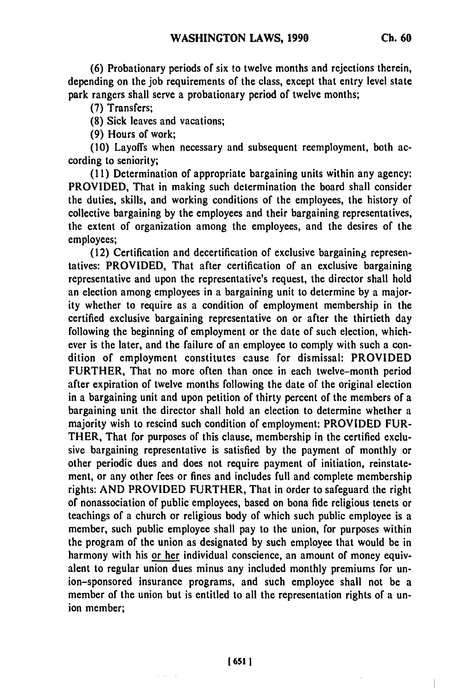**(6)** Probationary periods of six to twelve months and rejections therein, depending on the **job** requirements of the class, except that entry level state park rangers shall serve a probationary period of twelve months;

**(7)** Transfers;

**(8)** Sick leaves and vacations;

**(9)** Hours of work;

**(10)** Layoffs when necessary and subsequent reemployment, both according to seniority;

**(11)** Determination of appropriate bargaining units within any agency: PROVIDED, That in making such determination the board shall consider the duties, skills, and working conditions of the employees, the history of collective bargaining **by** the employees and their bargaining representatives, the extent of organization among the employees, and the desires of the employees;

(12) Certification and decertification of exclusive bargaining representatives: PROVIDED, That after certification of an exclusive bargaining representative and upon the representative's request, the director shall hold an election among employees in a bargaining unit to determine **by** a majority whether to require as a condition of employment membership in the certified exclusive bargaining representative on or after the thirtieth day following the beginning of employment or the date of such election, whichever is the later, and the failure of an employee to comply with such a condition of employment constitutes cause for dismissal: PROVIDED FURTHER, That no more often than once in each twelve-month period after expiration of twelve months following the date of the original election in a bargaining unit and upon petition of thirty percent of the members of a bargaining unit the director shall hold an election to determine whether a majority wish to rescind such condition of employment: PROVIDED FUR-THER, That for purposes of this clause, membership in the certified exclusive bargaining representative is satisfied **by** the payment of monthly or other periodic dues and does not require payment of initiation, reinstatement, or any other fees or fines and includes full and complete membership rights: **AND** PROVIDED FURTHER, That in order to safeguard the right of nonassociation of public employees, based on bona fide religious tenets or teachings of a church or religious body of which such public employee is a member, such public employee shall pay to the union, for purposes within the program of the union as designated **by** such employee that would be in harmony with his or her individual conscience, an amount of money equivalent to regular union dues minus any included monthly premiums for union-sponsored insurance programs, and such employee shall not be a member of the union but is entitled to all the representation rights of a union member;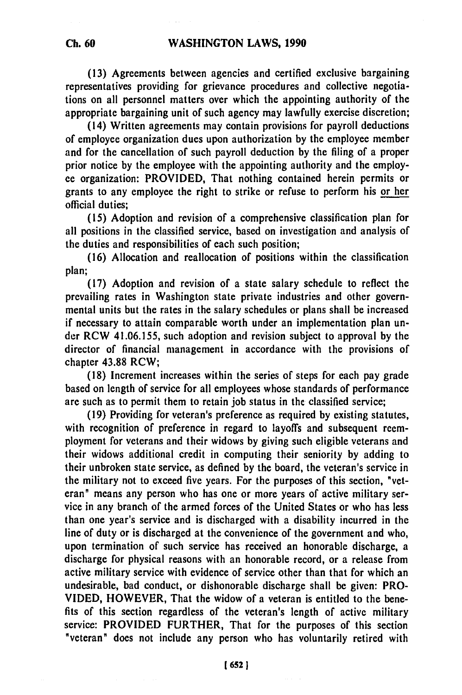**(13)** Agreements between agencies and certified exclusive bargaining representatives providing for grievance procedures and collective negotiations on all personnel matters over which the appointing authority of the appropriate bargaining unit of such agency may lawfully exercise discretion;

(14) Written agreements may contain provisions for payroll deductions of employee organization dues upon authorization **by** the employee member and for the cancellation of such payroll deduction **by** the filing of a proper prior notice **by** the employee with the appointing authority and the employee organization: PROVIDED, That nothing contained herein permits or grants to any employee the right to strike or refuse to perform his or her official duties;

**(15)** Adoption and revision of a comprehensive classification plan for all positions in the classified service, based on investigation and analysis of the duties and responsibilities of each such position;

**(16)** Allocation and reallocation of positions within the classification plan;

**(17)** Adoption and revision of a state salary schedule to reflect the prevailing rates in Washington state private industries and other governmental units but the rates in the salary schedules or plans shall be increased if necessary to attain comparable worth under an implementation plan under RCW **41.06.155,** such adoption and revision subject to approval **by** the director of financial management in accordance with the provisions of chapter **43.88** RCW;

**(18)** Increment increases within the series of steps for each pay grade based on length of service for all employees whose standards of performance are such as to permit them to retain **job** status in the classified service;

**(19)** Providing for veteran's preference as required **by** existing statutes, with recognition of preference in regard to layoffs and subsequent reemployment for veterans and their widows **by** giving such eligible veterans and their widows additional credit in computing their seniority **by** adding to their unbroken state service, as defined **by** the board, the veteran's service in the military not to exceed five years. For the purposes of this section, "veteran" means any person who has one or more years of active military service in any branch of the armed forces of the United States or who has less than one year's service and is discharged with a disability incurred in the line of duty or is discharged at the convenience of the government and who, upon termination of such service has received an honorable discharge, a discharge for physical reasons with an honorable record, or a release from active military service with evidence of service other than that for which an undesirable, bad conduct, or dishonorable discharge shall be given: PRO-**VIDED,** HOWEVER, That the widow of a veteran is entitled to the benefits of this section regardless of the veteran's length of active military service: PROVIDED FURTHER, That for the purposes of this section "veteran" does not include any person who has voluntarily retired with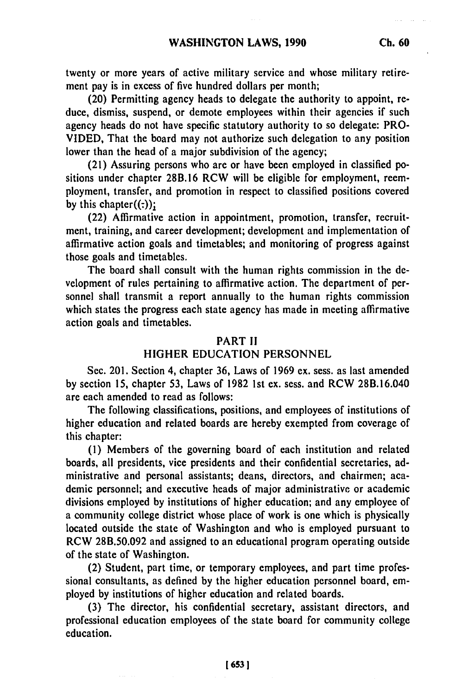twenty or more years of active military service and whose military retirement pay is in excess of five hundred dollars per month;

(20) Permitting agency heads to delegate the authority to appoint, reduce, dismiss, suspend, or demote employees within their agencies if such agency heads do not have specific statutory authority to so delegate: PRO-**VIDED,** That the board may not authorize such delegation to any position lower than the head of a major subdivision of the agency;

(21) Assuring persons who are or have been employed in classified positions under chapter **28B.16** RCW will be eligible for employment, reemployment, transfer, and promotion in respect to classified positions covered by this chapter $((:)$ );

(22) Affirmative action in appointment, promotion, transfer, recruitment, training, and career development; development and implementation of affirmative action goals and timetables; and monitoring of progress against those goals and timetables.

The board shall consult with the human rights commission in the **de**velopment of rules pertaining to affirmative action. The department of personnel shall transmit a report annually to the human rights commission which states the progress each state agency has made in meeting affirmative action goals and timetables.

### PART **11**

## HIGHER **EDUCATION PERSONNEL**

Sec. 201. Section 4, chapter **36,** Laws of **1969** ex. sess. as last amended **by** section **15,** chapter **53,** Laws of **1982 1st** ex. sess. and RCW 28B.16.040 are each amended to read as follows:

The following classifications, positions, and employees of institutions of higher education and related boards are hereby exempted from coverage of this chapter:

**(i)** Members of the governing board of each institution and related boards, all presidents, vice presidents and their confidential secretaries, administrative and personal assistants; deans, directors, and chairmen; academic personnel; and executive heads of major administrative or academic divisions employed **by** institutions of higher education; and any employee of a community college district whose place of work is one which is physically located outside the state of Washington and who is employed pursuant to RCW **28B.50.092** and assigned to an educational program operating outside of the state of Washington.

(2) Student, part time, or temporary employees, and part time professional consultants, as defined **by** the higher education personnel board, employed **by** institutions of higher education and related boards.

**(3)** The director, his confidential secretary, assistant directors, and professional education employees of the state board for community college education.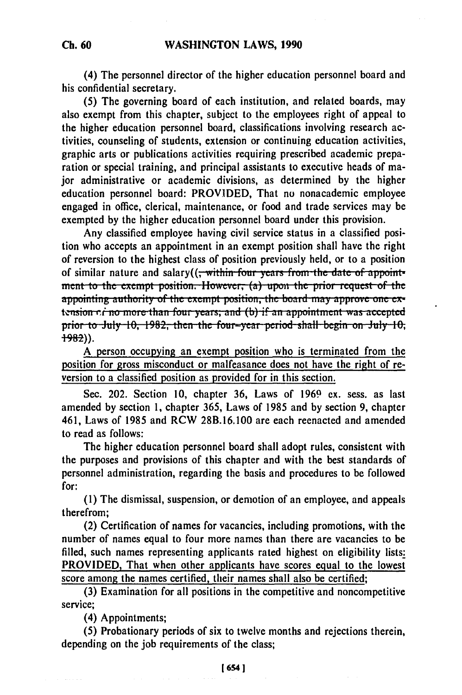**(4) The** personnel director of the higher education personnel board and his confidential secretary.

**(5)** The governing board of each institution, and related boards, may also exempt from this chapter, subject to the employees right of appeal to the higher education personnel board, classifications involving research activities, counseling of students, extension or continuing education activities, graphic arts or publications activities requiring prescribed academic preparation or special training, and principal assistants to executive heads of major administrative or academic divisions, as determined **by** the higher education personnel board: PROVIDED, That no nonacademic employee engaged in office, clerical, maintenance, or food and trade services may be exempted **by** the higher education personnel board under this provision.

Any classified employee having civil service status in a classified position who accepts an appointment in an exempt position shall have the right of reversion to the highest class of position previously held, or to a position of similar nature and salary((<del>, within four years from the date of appoint-</del> **ment to the exempt position. However, (a) upon the prior request of the** appointing authority of the exempt position, the board may approve one extension  $\vec{r}$  ino more than four years; and (b) if an appointment was accepted prior to July 10, 1982, then the four-year period shall begin on July 10, <br>1982)).

A person occupying an exempt position who is terminated from the position for gross misconduct or malfeasance does not have the right of reversion to a classified position as provided for in this section.

Sec. 202. Section **10,** chapter **36,** Laws of **1969** ex. sess. as last amended **by** section **1,** chapter **365,** Laws of **1985** and **by** section **9,** chapter 461, Laws of **1985** and RCW **28B.16.100** are each reenacted and amended to read as follows:

The higher education personnel board shall adopt rules, consistent with the purposes and provisions of this chapter and with the best standards of personnel administration, regarding the basis and procedures to be followed for:

**(1)** The dismissal, suspension, or demotion of an employee, and appeals therefrom;

(2) Certification of names for vacancies, including promotions, with the number of names equal to four more names than there are vacancies to be filled, such names representing applicants rated highest on eligibility lists: PROVIDED, That when other applicants have scores equal to the lowest score among the names certified, their names shall also be certified;

**(3)** Examination for all positions in the competitive and noncompetitive service;

(4) Appointments;

**(5)** Probationary periods of six to twelve months and rejections therein, depending on the **job** requirements of the class;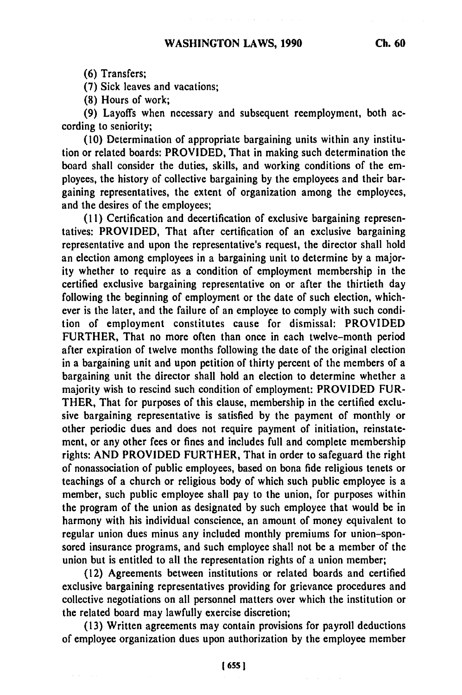**(6)** Transfers;

**(7)** Sick leaves and vacations;

**(8)** Hours of work;

**(9)** Layoffs when necessary and subsequent reemployment, both according to seniority;

**(10)** Determination of appropriate bargaining units within any institution or related boards: PROVIDED, That in making such determination the board shall consider the duties, skills, and working conditions of the employees, the history of collective bargaining **by** the employees and their bargaining representatives, the extent of organization among the employees, and the desires of the employees;

**(11)** Certification and decertification of exclusive bargaining representatives: PROVIDED, That after certification of an exclusive bargaining representative and upon the representative's request, the director shall hold an election among employees in a bargaining unit to determine **by** a majority whether to require as a condition of employment membership in the certified exclusive bargaining representative on or after the thirtieth day following the beginning of employment or the date of such election, whichever is the later, and the failure of an employee to comply with such condition of employment constitutes cause for dismissal: PROVIDED FURTHER, That no more often than once in each twelve-month period after expiration of twelve months following the date of the original election in a bargaining unit and upon petition of thirty percent of the members of a bargaining unit the director shall hold an election to determine whether a majority wish to rescind such condition of employment: PROVIDED FUR-THER, That for purposes of this clause, membership in the certified exclusive bargaining representative is satisfied **by** the payment of monthly or other periodic dues and does not require payment of initiation, reinstatement, or any other fees or fines and includes full and complete membership rights: **AND** PROVIDED FURTHER, That in order to safeguard the right of nonassociation of public employees, based on bona fide religious tenets or teachings of a church or religious body of which such public employee is a member, such public employee shall pay to the union, for purposes within the program of the union as designated **by** such employee that would be in harmony with his individual conscience, an amount of money equivalent to regular union dues minus any included monthly premiums for union-sponsored insurance programs, and such employee shall not be a member of the union but is entitled to all the representation rights of a union member;

(12) Agreements between institutions or related boards and certified exclusive bargaining representatives providing for grievance procedures and collective negotiations on all personnel matters over which the institution or the related board may lawfully exercise discretion;

**(13)** Written agreements may contain provisions for payroll deductions of employee organization dues upon authorization **by** the employee member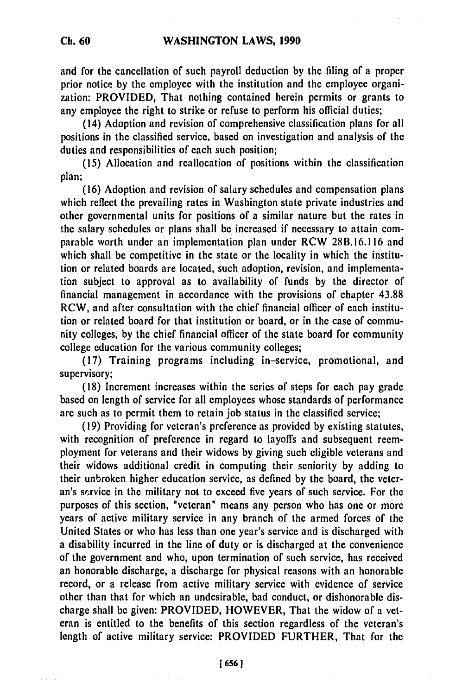and for the cancellation of such payroll deduction **by** the filing of a proper prior notice **by** the employee with the institution and the employee organization: PROVIDED, That nothing contained herein permits or grants to any employee the right to strike or refuse to perform his official duties;

(14) Adoption and revision of comprehensive classification plans for all positions in the classified service, based on investigation and analysis of the duties and responsibilities of each such position;

**(15)** Allocation and reallocation of positions within the classification plan;

**(16)** Adoption and revision of salary schedules and compensation plans which reflect the prevailing rates in Washington state private industries and other governmental units for positions of a similar nature but the rates in the salary schedules or plans shall be increased if necessary to attain comparable worth under an implementation plan under RCW **28B.16.116** and which shall be competitive in the state or the locality in which the institution or related boards are located, such adoption, revision, and implementation subject to approval as to availability of funds **by** the director of financial management in accordance with the provisions of chapter **43.88** RCW, and after consultation with the chief financial officer of each institution or related board for that institution or board, or in the case of community colleges, **by** the chief financial officer of the state board for community college education for the various community colleges;

**(17)** Training programs including in-service, promotional, and supervisory;

**(18)** Increment increases within the series of steps for each pay grade based on length of service for all employees whose standards of performance are such as to permit them to retain **job** status in the classified service;

**(19)** Providing for veteran's preference as provided **by** existing statutes, with recognition of preference in regard to layoffs and subsequent reemployment for veterans and their widows **by** giving such eligible veterans and their widows additional credit in computing their seniority **by** adding to their unbroken higher education service, as defined **by** the board, the veteran's sorvice in the military not to exceed five years of such service. For the purposes of this section, "veteran" means any person who has one or more years of active military service in any branch of the armed forces of the United States or who has less than one year's service and is discharged with a disability incurred in the line of duty or is discharged at the convenience of the government and who, upon termination of such service, has received an honorable discharge, a discharge for physical reasons with an honorable record, or a release from active military service with evidence of service other than that for which an undesirable, bad conduct, or dishonorable discharge shall be given: PROVIDED, HOWEVER, That the widow of a veteran is entitled to the benefits of this section regardless of the veteran's length of active military service: PROVIDED FURTHER, That for the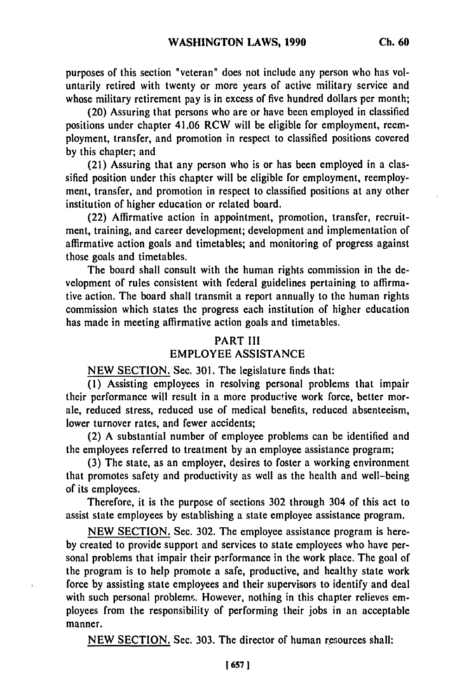purposes of this section "veteran" does not include any person who has voluntarily retired with twenty or more years of active military service and whose military retirement pay is in excess of five hundred dollars per month;

(20) Assuring that persons who are or have been employed in classified positions under chapter 41.06 RCW will be eligible for employment, reemployment, transfer, and promotion in respect to classified positions covered by this chapter; and

(21) Assuring that any person who is or has been employed in a classified position under this chapter will be eligible for employment, reemployment, transfer, and promotion in respect to classified positions at any other institution of higher education or related board.

(22) Affirmative action in appointment, promotion, transfer, recruitment, training, and career development; development and implementation of affirmative action goals and timetables; and monitoring of progress against those goals and timetables.

The board shall consult with the human rights commission in the development of rules consistent with federal guidelines pertaining to affirmative action. The board shall transmit a report annually to the human rights commission which states the progress each institution of higher education has made in meeting affirmative action goals and timetables.

#### PART III EMPLOYEE ASSISTANCE

NEW SECTION. Sec. 301. The legislature finds that:

(1) Assisting employees in resolving personal problems that impair their performance will result in a more producive work force, better morale, reduced stress, reduced use of medical benefits, reduced absenteeism, lower turnover rates, and fewer accidents;

(2) A substantial number of employee problems can be identified and the employees referred to treatment by an employee assistance program;

(3) The state, as an employer, desires to foster a working environment that promotes safety and productivity as well as the health and well-being of its employees.

Therefore, it is the purpose of sections 302 through 304 of this act to assist state employees by establishing a state employee assistance program.

NEW SECTION. Sec. 302. The employee assistance program is hereby created to provide support and services to state employees who have personal problems that impair their performance in the work place. The goal of the program is to help promote a safe, productive, and healthy state work force by assisting state employees and their supervisors to identify and deal with such personal problems. However, nothing in this chapter relieves employees from the responsibility of performing their jobs in an acceptable manner.

NEW SECTION. Sec. 303. The director of human resources shall: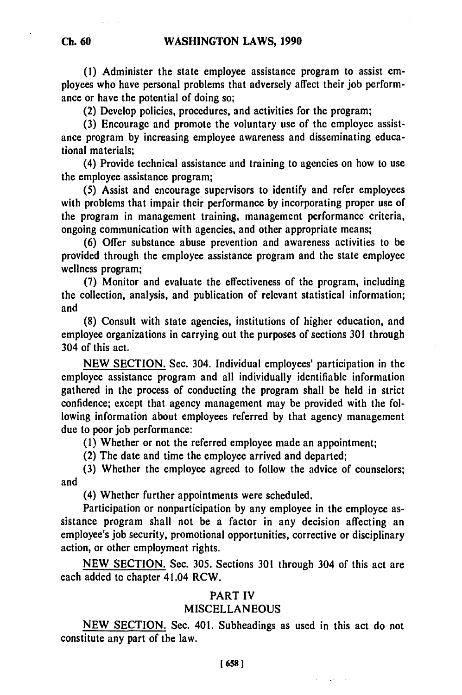**(1)** Administer the state employee assistance program to assist employees who have personal problems that adversely affect their **job** performance or have the potential of doing so;

(2) Develop policies, procedures, and activities for the program;

**(3)** Encourage and promote the voluntary use of the employee assistance program **by** increasing employee awareness and disseminating educational materials;

(4) Provide technical assistance and training to agencies on how to use the employee assistance program;

**(5)** Assist and encourage supervisors to identify and refer employees with problems that impair their performance **by** incorporating proper use of the program in management training, management performance criteria, ongoing communication with agencies, and other appropriate means;

**(6)** Offer substance abuse prevention and awareness activities to be provided through the employee assistance program and the state employee wellness program;

**(7)** Monitor and evaluate the effectiveness of the program, including the collection, analysis, and publication of relevant statistical information; and

**(8)** Consult with state agencies, institutions of higher education, and employee organizations in carrying out the purposes of sections **301** through 304 of this act.

**NEW SECTION.** Sec. 304. Individual employees' participation in the employee assistance program and all individually identifiable information gathered in the process of conducting the program shall be held in strict confidence; except that agency management may be provided with the following information about employees referred **by** that agency management due to poor **job** performance:

**(1)** Whether or not the referred employee made an appointment;

(2) The date and time the employee arrived and departed;

**(3)** Whether the employee agreed to follow the advice of counselors; and

(4) Whether further appointments were scheduled.

Participation or nonparticipation **by** any employee in the employee assistance program shall not be a factor in any decision affecting an employee's **job** security, promotional opportunities, corrective or disciplinary action, or other employment rights.

**NEW SECTION.** Sec. **305.** Sections **301** through 304 of this act are each added to chapter 41.04 RCW.

## PART IV

## **MISCELLANEOUS**

**NEW SECTION.** Sec. 401. Subheadings as used in this act do not constitute any part of the law.